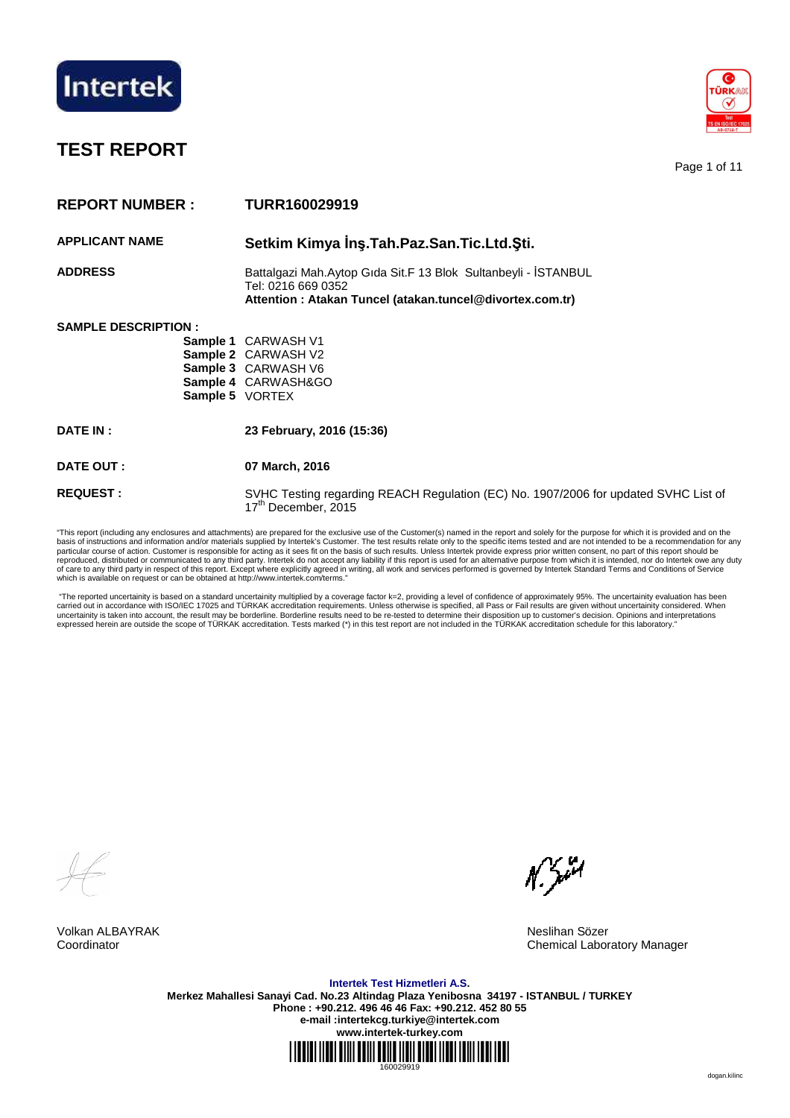

# **TEST REPORT**

Page 1 of 11

| <b>REPORT NUMBER:</b>       | TURR160029919                                                                                                                                    |
|-----------------------------|--------------------------------------------------------------------------------------------------------------------------------------------------|
| <b>APPLICANT NAME</b>       | Setkim Kimya İnş. Tah. Paz. San. Tic. Ltd. Sti.                                                                                                  |
| <b>ADDRESS</b>              | Battalgazi Mah.Aytop Gida Sit.F 13 Blok Sultanbeyli - İSTANBUL<br>Tel: 0216 669 0352<br>Attention: Atakan Tuncel (atakan.tuncel@divortex.com.tr) |
| <b>SAMPLE DESCRIPTION :</b> | <b>Sample 1 CARWASH V1</b><br><b>Sample 2 CARWASH V2</b><br>Sample 3 CARWASH V6<br>Sample 4 CARWASH&GO<br>Sample 5 VORTEX                        |
| <b>DATE IN:</b>             | 23 February, 2016 (15:36)                                                                                                                        |
| DATE OUT :                  | 07 March, 2016                                                                                                                                   |
| <b>REQUEST:</b>             | SVHC Testing regarding REACH Regulation (EC) No. 1907/2006 for updated SVHC List of<br>17 <sup>th</sup> December, 2015                           |

"This report (including any enclosures and attachments) are prepared for the exclusive use of the Customer(s) named in the report and solely for the purpose for which it is provided and on the basis of instructions and information and/or materials supplied by Intertek's Customer. The test results relate only to the specific items tested and are not intended to be a recommendation for any<br>particular course of act of care to any third party in respect of this report. Except where explicitly agreed in writing, all work and services performed is governed by Intertek Standard Terms and Conditions of Service<br>which is available on reques

 "The reported uncertainity is based on a standard uncertainity multiplied by a coverage factor k=2, providing a level of confidence of approximately 95%. The uncertainity evaluation has been carried out in accordance with ISO/IEC 17025 and TURKAK accreditation requirements. Unless otherwise is specified, all Pass or Fail results are given without uncertainity considered. When<br>uncertainity is taken into account

Volkan ALBAYRAK Neslihan Sözer Coordinator Chemical Laboratory Manager

 $N$ , you

**Intertek Test Hizmetleri A.S. Merkez Mahallesi Sanayi Cad. No.23 Altindag Plaza Yenibosna 34197 - ISTANBUL / TURKEY Phone : +90.212. 496 46 46 Fax: +90.212. 452 80 55 e-mail :intertekcg.turkiye@intertek.com www.intertek-turkey.com**

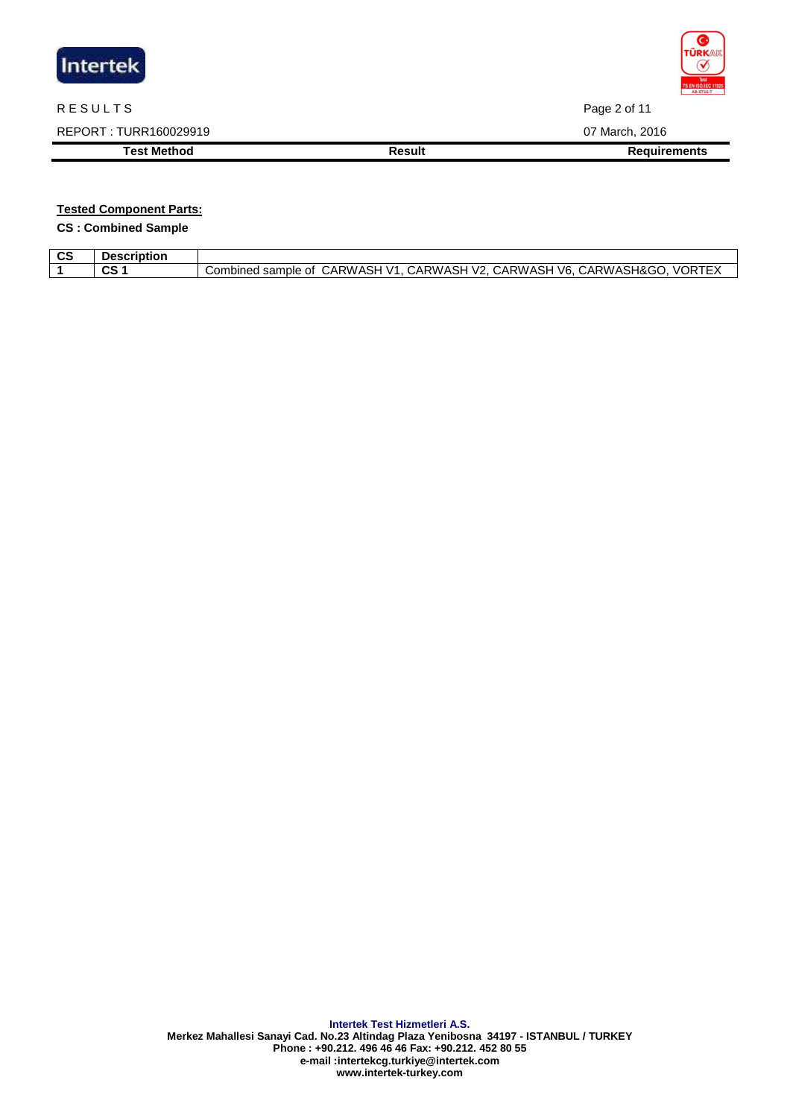

## R E SULTS Page 2 of 11

REPORT : TURR160029919 07 March, 2016

**Test Method Result Result Result Requirements** 

## **Tested Component Parts:**

**CS : Combined Sample** 

| <b>CS</b> | <b>Description</b> |                                                                                                                              |
|-----------|--------------------|------------------------------------------------------------------------------------------------------------------------------|
|           | $\sim$<br>va       | CARWASH&GO.<br>CARWASH<br>$\sqrt{2}$ .<br>V6.<br>∵ARWASH<br>CARWASH<br>TEX<br>11 J<br>samo<br>Combined<br>nple<br>Οt<br>VOR. |
|           |                    |                                                                                                                              |

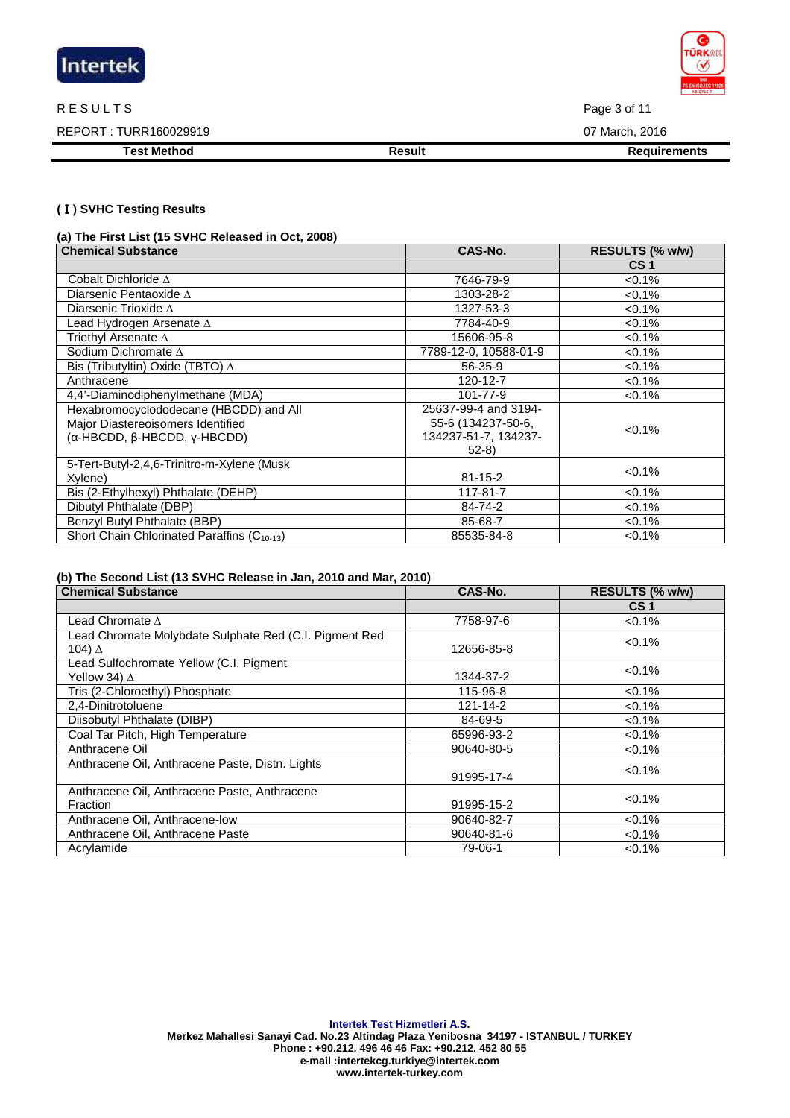

#### R E SULTS Page 3 of 11

REPORT : TURR160029919 07 March, 2016

**Test Method Result Result Result Requirements** 

#### **(**Ⅰ**) SVHC Testing Results**

**(a) The First List (15 SVHC Released in Oct, 2008)** 

| <b>Chemical Substance</b>                               | CAS-No.               | RESULTS (% w/w) |
|---------------------------------------------------------|-----------------------|-----------------|
|                                                         |                       | CS <sub>1</sub> |
| Cobalt Dichloride $\Delta$                              | 7646-79-9             | $< 0.1\%$       |
| Diarsenic Pentaoxide $\Delta$                           | 1303-28-2             | $< 0.1\%$       |
| Diarsenic Trioxide $\Delta$                             | 1327-53-3             | $< 0.1\%$       |
| Lead Hydrogen Arsenate $\Delta$                         | 7784-40-9             | $< 0.1\%$       |
| Triethyl Arsenate $\Delta$                              | 15606-95-8            | $< 0.1\%$       |
| Sodium Dichromate $\Delta$                              | 7789-12-0, 10588-01-9 | $< 0.1\%$       |
| Bis (Tributyltin) Oxide (TBTO) $\Delta$                 | 56-35-9               | $< 0.1\%$       |
| Anthracene                                              | 120-12-7              | $< 0.1\%$       |
| 4,4'-Diaminodiphenylmethane (MDA)                       | 101-77-9              | $< 0.1\%$       |
| Hexabromocyclododecane (HBCDD) and All                  | 25637-99-4 and 3194-  |                 |
| Major Diastereoisomers Identified                       | 55-6 (134237-50-6,    | $< 0.1\%$       |
| (α-HBCDD, β-HBCDD, γ-HBCDD)                             | 134237-51-7, 134237-  |                 |
|                                                         | $52-8$                |                 |
| 5-Tert-Butyl-2,4,6-Trinitro-m-Xylene (Musk              |                       | $< 0.1\%$       |
| Xylene)                                                 | $81 - 15 - 2$         |                 |
| Bis (2-Ethylhexyl) Phthalate (DEHP)                     | 117-81-7              | $< 0.1\%$       |
| Dibutyl Phthalate (DBP)                                 | 84-74-2               | $< 0.1\%$       |
| Benzyl Butyl Phthalate (BBP)                            | 85-68-7               | $< 0.1\%$       |
| Short Chain Chlorinated Paraffins (C <sub>10-13</sub> ) | 85535-84-8            | < 0.1%          |

#### **(b) The Second List (13 SVHC Release in Jan, 2010 and Mar, 2010)**

| <b>Chemical Substance</b>                              | CAS-No.    | RESULTS (% w/w) |
|--------------------------------------------------------|------------|-----------------|
|                                                        |            | CS <sub>1</sub> |
| Lead Chromate $\Lambda$                                | 7758-97-6  | $< 0.1\%$       |
| Lead Chromate Molybdate Sulphate Red (C.I. Pigment Red |            | $< 0.1\%$       |
| 104) ∆                                                 | 12656-85-8 |                 |
| Lead Sulfochromate Yellow (C.I. Pigment                |            | $< 0.1\%$       |
| Yellow 34) $\Delta$                                    | 1344-37-2  |                 |
| Tris (2-Chloroethyl) Phosphate                         | 115-96-8   | $< 0.1\%$       |
| 2,4-Dinitrotoluene                                     | 121-14-2   | $< 0.1\%$       |
| Diisobutyl Phthalate (DIBP)                            | 84-69-5    | $< 0.1\%$       |
| Coal Tar Pitch, High Temperature                       | 65996-93-2 | $< 0.1\%$       |
| Anthracene Oil                                         | 90640-80-5 | $< 0.1\%$       |
| Anthracene Oil, Anthracene Paste, Distn. Lights        |            | $< 0.1\%$       |
|                                                        | 91995-17-4 |                 |
| Anthracene Oil, Anthracene Paste, Anthracene           |            | $< 0.1\%$       |
| Fraction                                               | 91995-15-2 |                 |
| Anthracene Oil, Anthracene-low                         | 90640-82-7 | $< 0.1\%$       |
| Anthracene Oil, Anthracene Paste                       | 90640-81-6 | $< 0.1\%$       |
| Acrylamide                                             | 79-06-1    | $< 0.1\%$       |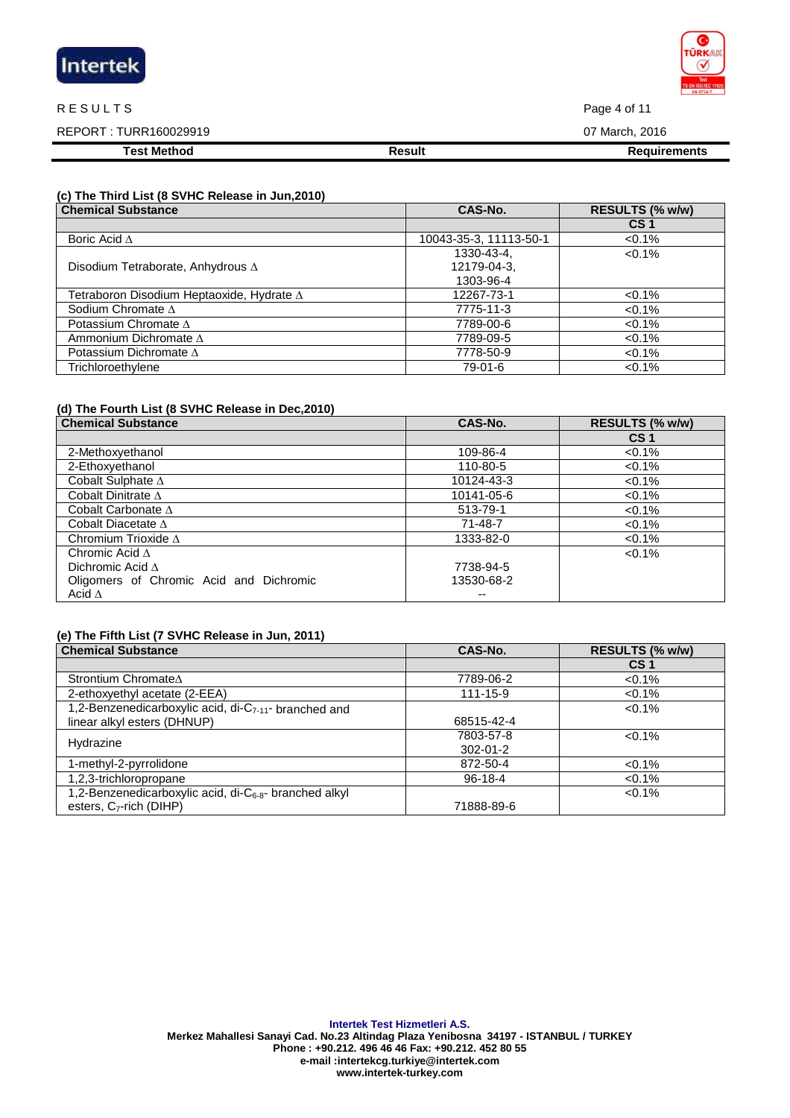| Intertek |  |  |
|----------|--|--|
|          |  |  |

#### R E SULTS Page 4 of 11

| <b>Test Method</b>     | <b>Result</b><br>Requirements |
|------------------------|-------------------------------|
| REPORT : TURR160029919 | 07 March, 2016                |

### **(c) The Third List (8 SVHC Release in Jun,2010)**

| <b>Chemical Substance</b>                        | CAS-No.                | RESULTS (% w/w) |
|--------------------------------------------------|------------------------|-----------------|
|                                                  |                        | CS <sub>1</sub> |
| Boric Acid $\Delta$                              | 10043-35-3, 11113-50-1 | $<0.1\%$        |
|                                                  | 1330-43-4,             | $< 0.1\%$       |
| Disodium Tetraborate, Anhydrous $\Delta$         | 12179-04-3.            |                 |
|                                                  | 1303-96-4              |                 |
| Tetraboron Disodium Heptaoxide, Hydrate $\Delta$ | 12267-73-1             | $< 0.1\%$       |
| Sodium Chromate $\Delta$                         | 7775-11-3              | $< 0.1\%$       |
| Potassium Chromate $\Delta$                      | 7789-00-6              | $< 0.1\%$       |
| Ammonium Dichromate $\Delta$                     | 7789-09-5              | $< 0.1\%$       |
| Potassium Dichromate $\Delta$                    | 7778-50-9              | $< 0.1\%$       |
| Trichloroethylene                                | 79-01-6                | $< 0.1\%$       |

#### **(d) The Fourth List (8 SVHC Release in Dec,2010)**

| <b>Chemical Substance</b>               | CAS-No.    | RESULTS (% w/w) |
|-----------------------------------------|------------|-----------------|
|                                         |            | CS <sub>1</sub> |
| 2-Methoxyethanol                        | 109-86-4   | $< 0.1\%$       |
| 2-Ethoxyethanol                         | 110-80-5   | $< 0.1\%$       |
| Cobalt Sulphate $\Delta$                | 10124-43-3 | $< 0.1\%$       |
| Cobalt Dinitrate $\Delta$               | 10141-05-6 | $< 0.1\%$       |
| Cobalt Carbonate $\Delta$               | 513-79-1   | $< 0.1\%$       |
| Cobalt Diacetate $\Delta$               | 71-48-7    | $< 0.1\%$       |
| Chromium Trioxide $\Delta$              | 1333-82-0  | $< 0.1\%$       |
| Chromic Acid $\Delta$                   |            | $< 0.1\%$       |
| Dichromic Acid $\Lambda$                | 7738-94-5  |                 |
| Oligomers of Chromic Acid and Dichromic | 13530-68-2 |                 |
| Acid $\Delta$                           | --         |                 |

## **(e) The Fifth List (7 SVHC Release in Jun, 2011)**

| <b>Chemical Substance</b>                                          | CAS-No.        | RESULTS (% w/w) |
|--------------------------------------------------------------------|----------------|-----------------|
|                                                                    |                | CS <sub>1</sub> |
| Strontium Chromate∆                                                | 7789-06-2      | $< 0.1\%$       |
| 2-ethoxyethyl acetate (2-EEA)                                      | 111-15-9       | $< 0.1\%$       |
| 1,2-Benzenedicarboxylic acid, di-C <sub>7-11</sub> - branched and  |                | $< 0.1\%$       |
| linear alkyl esters (DHNUP)                                        | 68515-42-4     |                 |
| Hydrazine                                                          | 7803-57-8      | $<0.1\%$        |
|                                                                    | $302 - 01 - 2$ |                 |
| 1-methyl-2-pyrrolidone                                             | 872-50-4       | $< 0.1\%$       |
| 1,2,3-trichloropropane                                             | $96-18-4$      | $< 0.1\%$       |
| 1,2-Benzenedicarboxylic acid, di-C <sub>6-8</sub> - branched alkyl |                | $< 0.1\%$       |
| esters, $C_7$ -rich (DIHP)                                         | 71888-89-6     |                 |

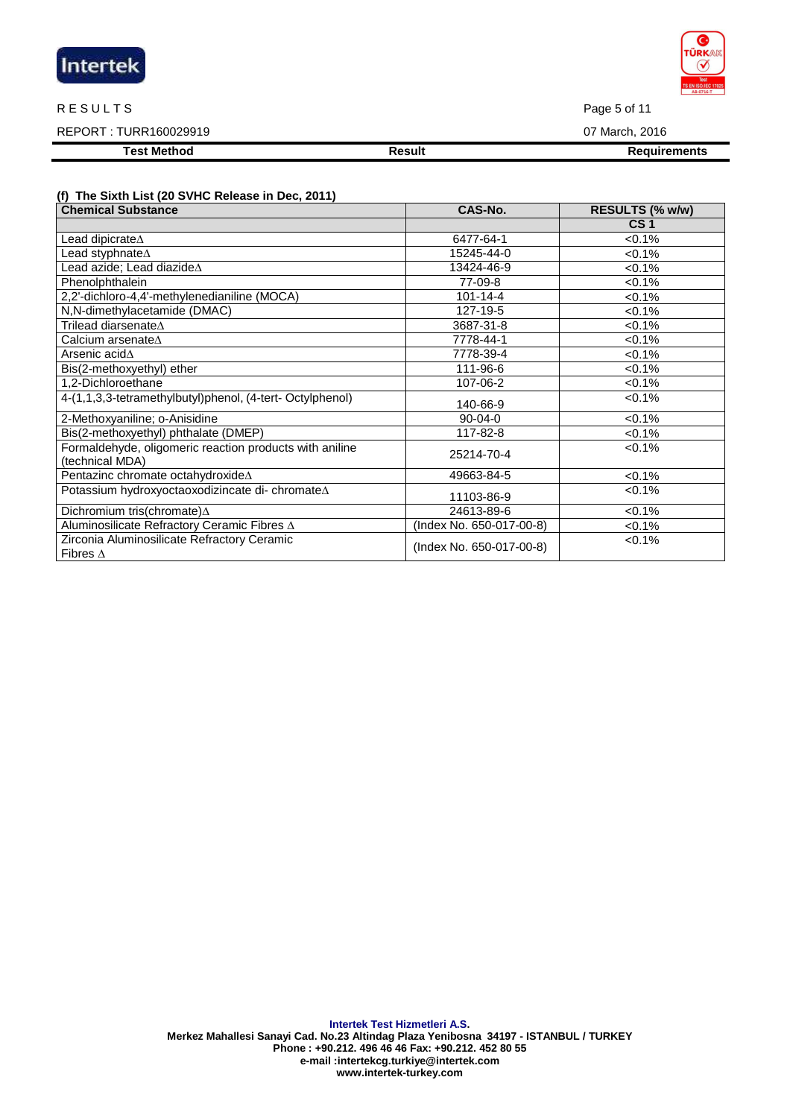| Intertek |  |  |
|----------|--|--|
|          |  |  |

#### R E SULTS Page 5 of 11

### REPORT : TURR160029919 07 March, 2016

**Test Method Result Result Result Requirements** 

## **(f) The Sixth List (20 SVHC Release in Dec, 2011)**

| <b>Chemical Substance</b>                                                  | CAS-No.                  | RESULTS (% w/w) |
|----------------------------------------------------------------------------|--------------------------|-----------------|
|                                                                            |                          | CS <sub>1</sub> |
| Lead dipicrate $\Delta$                                                    | 6477-64-1                | < 0.1%          |
| Lead styphnate $\Delta$                                                    | 15245-44-0               | $< 0.1\%$       |
| Lead azide; Lead diazide $\Delta$                                          | 13424-46-9               | $< 0.1\%$       |
| Phenolphthalein                                                            | 77-09-8                  | $< 0.1\%$       |
| 2,2'-dichloro-4,4'-methylenedianiline (MOCA)                               | $101 - 14 - 4$           | $< 0.1\%$       |
| N,N-dimethylacetamide (DMAC)                                               | 127-19-5                 | $< 0.1\%$       |
| Trilead diarsenate∆                                                        | 3687-31-8                | $< 0.1\%$       |
| Calcium arsenate $\Delta$                                                  | 7778-44-1                | $< 0.1\%$       |
| Arsenic acid∆                                                              | 7778-39-4                | $< 0.1\%$       |
| Bis(2-methoxyethyl) ether                                                  | 111-96-6                 | $< 0.1\%$       |
| 1,2-Dichloroethane                                                         | 107-06-2                 | $< 0.1\%$       |
| 4-(1,1,3,3-tetramethylbutyl)phenol, (4-tert-Octylphenol)                   | 140-66-9                 | $< 0.1\%$       |
| 2-Methoxyaniline; o-Anisidine                                              | $90 - 04 - 0$            | $< 0.1\%$       |
| Bis(2-methoxyethyl) phthalate (DMEP)                                       | 117-82-8                 | $< 0.1\%$       |
| Formaldehyde, oligomeric reaction products with aniline<br>(technical MDA) | 25214-70-4               | $< 0.1\%$       |
| Pentazinc chromate octahydroxideA                                          | 49663-84-5               | $< 0.1\%$       |
| Potassium hydroxyoctaoxodizincate di- chromateA                            | 11103-86-9               | $< 0.1\%$       |
| Dichromium tris(chromate) $\Delta$                                         | 24613-89-6               | $< 0.1\%$       |
| Aluminosilicate Refractory Ceramic Fibres $\Delta$                         | (Index No. 650-017-00-8) | $<0.1\%$        |
| Zirconia Aluminosilicate Refractory Ceramic<br>Fibres $\Delta$             | (Index No. 650-017-00-8) | $< 0.1\%$       |

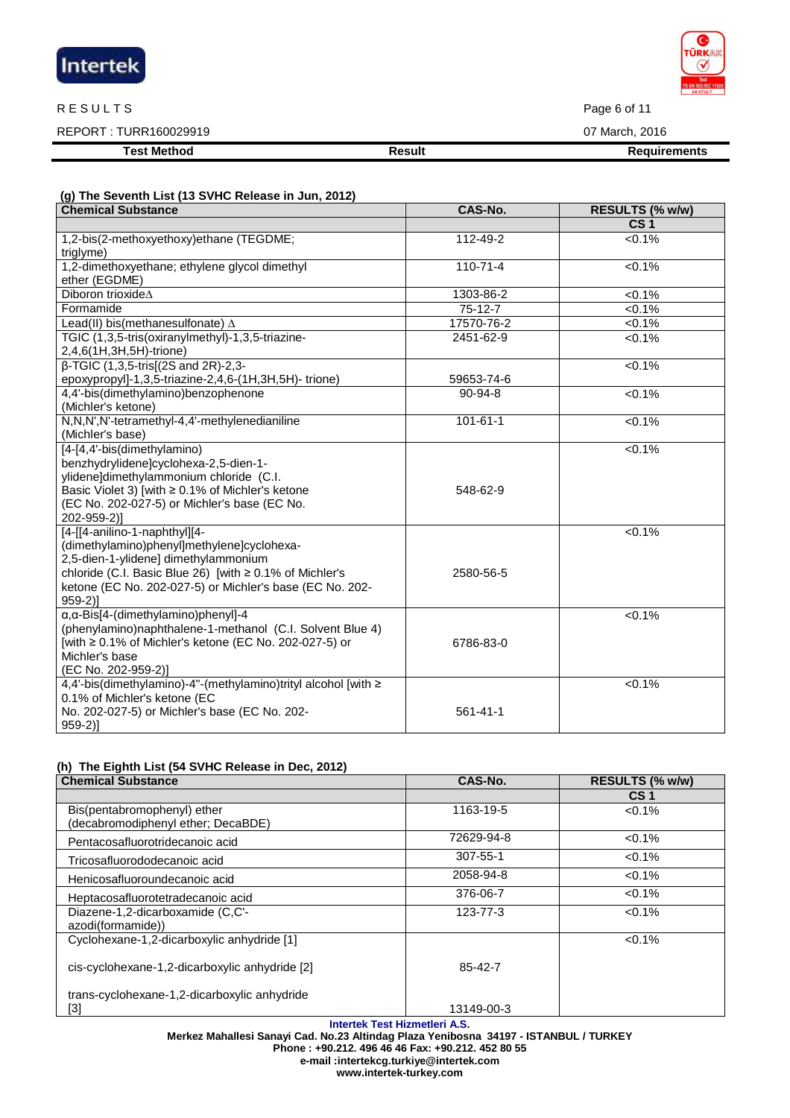| Intertek |  |
|----------|--|
|          |  |

#### R E SULTS Page 6 of 11

REPORT : TURR160029919 07 March, 2016

**Test Method Result Result Result Requirements** 

### **(g) The Seventh List (13 SVHC Release in Jun, 2012)**

| <b>Chemical Substance</b>                                                                                                                                                                                                                              | CAS-No.        | RESULTS (% w/w) |
|--------------------------------------------------------------------------------------------------------------------------------------------------------------------------------------------------------------------------------------------------------|----------------|-----------------|
|                                                                                                                                                                                                                                                        |                | CS <sub>1</sub> |
| 1,2-bis(2-methoxyethoxy)ethane (TEGDME;<br>triglyme)                                                                                                                                                                                                   | 112-49-2       | < 0.1%          |
| 1,2-dimethoxyethane; ethylene glycol dimethyl<br>ether (EGDME)                                                                                                                                                                                         | $110 - 71 - 4$ | $< 0.1\%$       |
| Diboron trioxideA                                                                                                                                                                                                                                      | 1303-86-2      | $< 0.1\%$       |
| Formamide                                                                                                                                                                                                                                              | $75-12-7$      | $< 0.1\%$       |
| Lead(II) bis(methanesulfonate) $\Delta$                                                                                                                                                                                                                | 17570-76-2     | $< 0.1\%$       |
| TGIC (1,3,5-tris(oxiranylmethyl)-1,3,5-triazine-<br>2,4,6(1H,3H,5H)-trione)                                                                                                                                                                            | 2451-62-9      | $< 0.1\%$       |
| β-TGIC (1,3,5-tris[(2S and 2R)-2,3-<br>epoxypropyl]-1,3,5-triazine-2,4,6-(1H,3H,5H)-trione)                                                                                                                                                            | 59653-74-6     | $< 0.1\%$       |
| 4,4'-bis(dimethylamino)benzophenone<br>(Michler's ketone)                                                                                                                                                                                              | $90 - 94 - 8$  | < 0.1%          |
| N,N,N',N'-tetramethyl-4,4'-methylenedianiline<br>(Michler's base)                                                                                                                                                                                      | $101 - 61 - 1$ | $< 0.1\%$       |
| [4-[4,4'-bis(dimethylamino)<br>benzhydrylidene]cyclohexa-2,5-dien-1-<br>ylidene]dimethylammonium chloride (C.I.<br>Basic Violet 3) [with ≥ 0.1% of Michler's ketone<br>(EC No. 202-027-5) or Michler's base (EC No.<br>202-959-2)]                     | 548-62-9       | $<0.1\%$        |
| [4-[[4-anilino-1-naphthyl][4-<br>(dimethylamino)phenyl]methylene]cyclohexa-<br>2,5-dien-1-ylidene] dimethylammonium<br>chloride (C.I. Basic Blue 26) [with ≥ 0.1% of Michler's<br>ketone (EC No. 202-027-5) or Michler's base (EC No. 202-<br>$959-2]$ | 2580-56-5      | < 0.1%          |
| $\alpha$ , $\alpha$ -Bis[4-(dimethylamino)phenyl]-4<br>(phenylamino)naphthalene-1-methanol (C.I. Solvent Blue 4)<br>[with ≥ 0.1% of Michler's ketone (EC No. 202-027-5) or<br>Michler's base<br>(EC No. 202-959-2)]                                    | 6786-83-0      | $< 0.1\%$       |
| 4,4'-bis(dimethylamino)-4"-(methylamino)trityl alcohol [with ≥<br>0.1% of Michler's ketone (EC<br>No. 202-027-5) or Michler's base (EC No. 202-<br>$959-2]$                                                                                            | $561 - 41 - 1$ | < 0.1%          |

## **(h) The Eighth List (54 SVHC Release in Dec, 2012)**

| <b>Chemical Substance</b>                      | CAS-No.        | RESULTS (% w/w) |
|------------------------------------------------|----------------|-----------------|
|                                                |                | CS <sub>1</sub> |
| Bis(pentabromophenyl) ether                    | 1163-19-5      | $< 0.1\%$       |
| (decabromodiphenyl ether; DecaBDE)             |                |                 |
| Pentacosafluorotridecanoic acid                | 72629-94-8     | $< 0.1\%$       |
| Tricosafluorododecanoic acid                   | $307 - 55 - 1$ | $< 0.1\%$       |
| Henicosafluoroundecanoic acid                  | 2058-94-8      | $< 0.1\%$       |
| Heptacosafluorotetradecanoic acid              | 376-06-7       | $< 0.1\%$       |
| Diazene-1,2-dicarboxamide (C,C'-               | 123-77-3       | $< 0.1\%$       |
| azodi(formamide))                              |                |                 |
| Cyclohexane-1,2-dicarboxylic anhydride [1]     |                | $< 0.1\%$       |
| cis-cyclohexane-1,2-dicarboxylic anhydride [2] | 85-42-7        |                 |
| trans-cyclohexane-1,2-dicarboxylic anhydride   |                |                 |
| [3]                                            | 13149-00-3     |                 |

**Intertek Test Hizmetleri A.S.** 

**Merkez Mahallesi Sanayi Cad. No.23 Altindag Plaza Yenibosna 34197 - ISTANBUL / TURKEY** 

**Phone : +90.212. 496 46 46 Fax: +90.212. 452 80 55 e-mail :intertekcg.turkiye@intertek.com** 

**www.intertek-turkey.com**

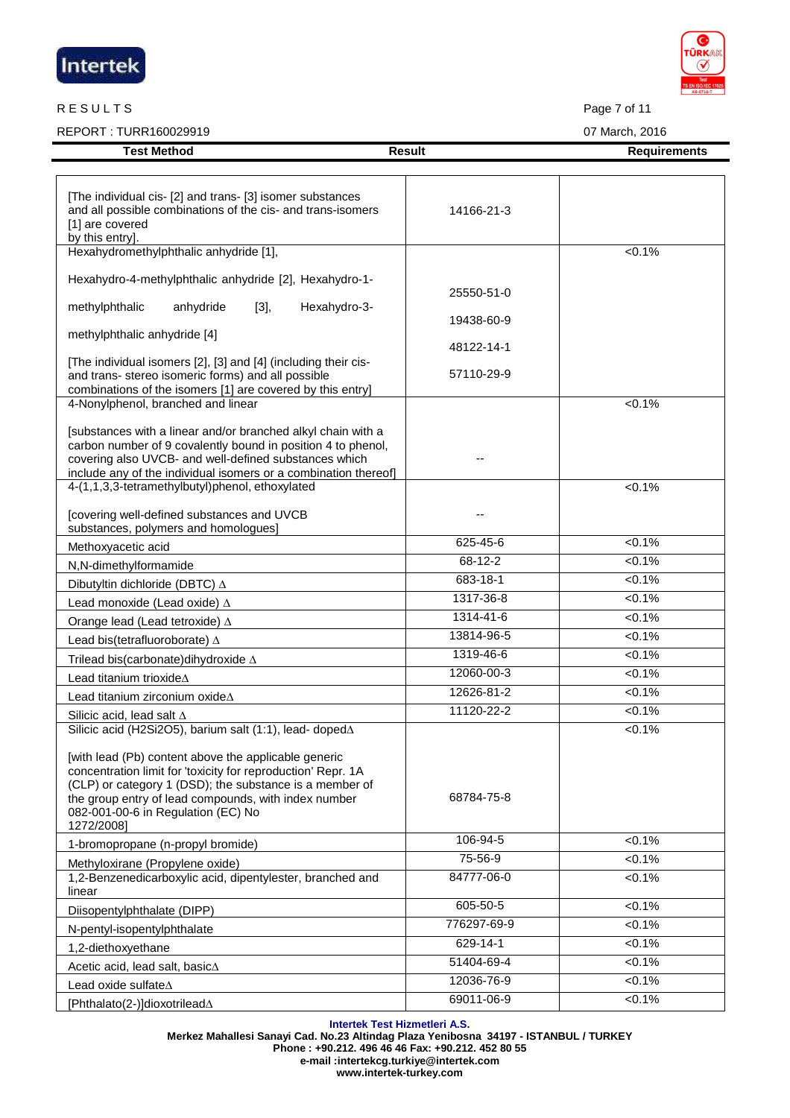| Intertek |  |
|----------|--|
|          |  |

#### R E SULTS Page 7 of 11

REPORT : TURR160029919 07 March, 2016

[Phthalato(2-)]dioxotrilead∆

| [The individual cis- [2] and trans- [3] isomer substances<br>and all possible combinations of the cis- and trans-isomers<br>[1] are covered<br>by this entry].                                                                                                                                                                                         | 14166-21-3    |           |
|--------------------------------------------------------------------------------------------------------------------------------------------------------------------------------------------------------------------------------------------------------------------------------------------------------------------------------------------------------|---------------|-----------|
| Hexahydromethylphthalic anhydride [1],                                                                                                                                                                                                                                                                                                                 |               | $< 0.1\%$ |
| Hexahydro-4-methylphthalic anhydride [2], Hexahydro-1-                                                                                                                                                                                                                                                                                                 | 25550-51-0    |           |
| anhydride<br>Hexahydro-3-<br>methylphthalic<br>$[3]$ ,                                                                                                                                                                                                                                                                                                 |               |           |
| methylphthalic anhydride [4]                                                                                                                                                                                                                                                                                                                           | 19438-60-9    |           |
|                                                                                                                                                                                                                                                                                                                                                        | 48122-14-1    |           |
| [The individual isomers [2], [3] and [4] (including their cis-<br>and trans- stereo isomeric forms) and all possible<br>combinations of the isomers [1] are covered by this entry]                                                                                                                                                                     | 57110-29-9    |           |
| 4-Nonylphenol, branched and linear                                                                                                                                                                                                                                                                                                                     |               | $< 0.1\%$ |
| [substances with a linear and/or branched alkyl chain with a<br>carbon number of 9 covalently bound in position 4 to phenol,<br>covering also UVCB- and well-defined substances which<br>include any of the individual isomers or a combination thereof]                                                                                               |               |           |
| 4-(1,1,3,3-tetramethylbutyl)phenol, ethoxylated                                                                                                                                                                                                                                                                                                        |               | $< 0.1\%$ |
| [covering well-defined substances and UVCB<br>substances, polymers and homologues]                                                                                                                                                                                                                                                                     |               |           |
| Methoxyacetic acid                                                                                                                                                                                                                                                                                                                                     | 625-45-6      | $< 0.1\%$ |
| N,N-dimethylformamide                                                                                                                                                                                                                                                                                                                                  | $68 - 12 - 2$ | $< 0.1\%$ |
| Dibutyltin dichloride (DBTC) $\Delta$                                                                                                                                                                                                                                                                                                                  | 683-18-1      | $< 0.1\%$ |
| Lead monoxide (Lead oxide) $\Delta$                                                                                                                                                                                                                                                                                                                    | 1317-36-8     | $< 0.1\%$ |
| Orange lead (Lead tetroxide) $\Delta$                                                                                                                                                                                                                                                                                                                  | 1314-41-6     | $< 0.1\%$ |
| Lead bis(tetrafluoroborate) A                                                                                                                                                                                                                                                                                                                          | 13814-96-5    | $< 0.1\%$ |
| Trilead bis(carbonate)dihydroxide ∆                                                                                                                                                                                                                                                                                                                    | 1319-46-6     | $< 0.1\%$ |
| Lead titanium trioxide $\Delta$                                                                                                                                                                                                                                                                                                                        | 12060-00-3    | $< 0.1\%$ |
| Lead titanium zirconium oxideA                                                                                                                                                                                                                                                                                                                         | 12626-81-2    | $< 0.1\%$ |
| Silicic acid. lead salt $\Delta$                                                                                                                                                                                                                                                                                                                       | 11120-22-2    | $< 0.1\%$ |
| Silicic acid (H2Si2O5), barium salt (1:1), lead- doped∆<br>[with lead (Pb) content above the applicable generic<br>concentration limit for 'toxicity for reproduction' Repr. 1A<br>(CLP) or category 1 (DSD); the substance is a member of<br>the group entry of lead compounds, with index number<br>082-001-00-6 in Regulation (EC) No<br>1272/2008] | 68784-75-8    | $< 0.1\%$ |
| 1-bromopropane (n-propyl bromide)                                                                                                                                                                                                                                                                                                                      | 106-94-5      | $< 0.1\%$ |
| Methyloxirane (Propylene oxide)                                                                                                                                                                                                                                                                                                                        | 75-56-9       | $< 0.1\%$ |
| 1,2-Benzenedicarboxylic acid, dipentylester, branched and<br>linear                                                                                                                                                                                                                                                                                    | 84777-06-0    | $< 0.1\%$ |
| Diisopentylphthalate (DIPP)                                                                                                                                                                                                                                                                                                                            | 605-50-5      | $< 0.1\%$ |
| N-pentyl-isopentylphthalate                                                                                                                                                                                                                                                                                                                            | 776297-69-9   | $< 0.1\%$ |
| 1,2-diethoxyethane                                                                                                                                                                                                                                                                                                                                     | 629-14-1      | $< 0.1\%$ |
| Acetic acid, lead salt, basic $\Delta$                                                                                                                                                                                                                                                                                                                 | 51404-69-4    | $< 0.1\%$ |
| Lead oxide sulfate $\Delta$                                                                                                                                                                                                                                                                                                                            | 12036-76-9    | $< 0.1\%$ |

**Test Method Result Result Result Result Requirements** 

**Intertek Test Hizmetleri A.S. Merkez Mahallesi Sanayi Cad. No.23 Altindag Plaza Yenibosna 34197 - ISTANBUL / TURKEY** 

69011-06-9 <0.1%

**Phone : +90.212. 496 46 46 Fax: +90.212. 452 80 55 e-mail :intertekcg.turkiye@intertek.com** 

**www.intertek-turkey.com**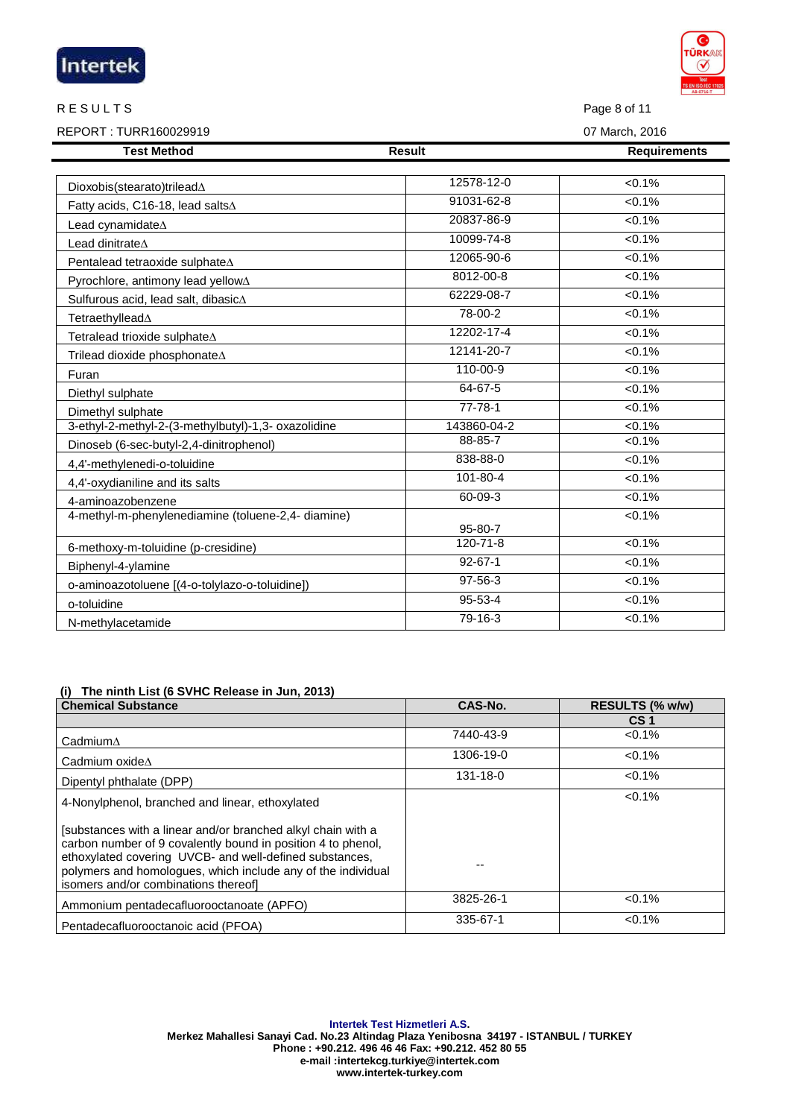|                                                     |                | AB-0716-T           |
|-----------------------------------------------------|----------------|---------------------|
| <b>RESULTS</b>                                      |                | Page 8 of 11        |
| REPORT: TURR160029919                               | 07 March, 2016 |                     |
| <b>Test Method</b>                                  | <b>Result</b>  | <b>Requirements</b> |
|                                                     |                |                     |
| Dioxobis(stearato)trilead $\Delta$                  | 12578-12-0     | < 0.1%              |
| Fatty acids, C16-18, lead salts∆                    | 91031-62-8     | < 0.1%              |
| Lead cynamidate $\Delta$                            | 20837-86-9     | < 0.1%              |
| Lead dinitrate $\Delta$                             | 10099-74-8     | $< 0.1\%$           |
| Pentalead tetraoxide sulphate∆                      | 12065-90-6     | < 0.1%              |
| Pyrochlore, antimony lead yellow∆                   | 8012-00-8      | 50.1%               |
| Sulfurous acid, lead salt, dibasic∆                 | 62229-08-7     | $< 0.1\%$           |
| Tetraethyllead∆                                     | 78-00-2        | $< 0.1\%$           |
| Tetralead trioxide sulphate∆                        | 12202-17-4     | < 0.1%              |
| Trilead dioxide phosphonate∆                        | 12141-20-7     | < 0.1%              |
| Furan                                               | $110 - 00 - 9$ | 50.1%               |
| Diethyl sulphate                                    | 64-67-5        | < 0.1%              |
| Dimethyl sulphate                                   | $77 - 78 - 1$  | 50.1%               |
| 3-ethyl-2-methyl-2-(3-methylbutyl)-1,3- oxazolidine | 143860-04-2    | $< 0.1\%$           |
| Dinoseb (6-sec-butyl-2,4-dinitrophenol)             | 88-85-7        | $< 0.1\%$           |
| 4,4'-methylenedi-o-toluidine                        | 838-88-0       | < 0.1%              |
| 4,4'-oxydianiline and its salts                     | $101 - 80 - 4$ | $< 0.1\%$           |
| 4-aminoazobenzene                                   | 60-09-3        | $< 0.1\%$           |
| 4-methyl-m-phenylenediamine (toluene-2,4- diamine)  | 95-80-7        | < 0.1%              |
| 6-methoxy-m-toluidine (p-cresidine)                 | 120-71-8       | 50.1%               |
| Biphenyl-4-ylamine                                  | $92 - 67 - 1$  | < 0.1%              |
| o-aminoazotoluene [(4-o-tolylazo-o-toluidine])      | $97 - 56 - 3$  | $< 0.1\%$           |
| o-toluidine                                         | 95-53-4        | $< 0.1\%$           |
| N-methylacetamide                                   | 79-16-3        | < 0.1%              |

### **(i) The ninth List (6 SVHC Release in Jun, 2013)**

| <b>Chemical Substance</b>                                                                                                                                                                                                                                                                       | CAS-No.   | RESULTS (% w/w) |
|-------------------------------------------------------------------------------------------------------------------------------------------------------------------------------------------------------------------------------------------------------------------------------------------------|-----------|-----------------|
|                                                                                                                                                                                                                                                                                                 |           | CS <sub>1</sub> |
| $C$ admium $\Delta$                                                                                                                                                                                                                                                                             | 7440-43-9 | $< 0.1\%$       |
| Cadmium oxide $\Lambda$                                                                                                                                                                                                                                                                         | 1306-19-0 | $< 0.1\%$       |
| Dipentyl phthalate (DPP)                                                                                                                                                                                                                                                                        | 131-18-0  | $< 0.1\%$       |
| 4-Nonylphenol, branched and linear, ethoxylated                                                                                                                                                                                                                                                 |           | $< 0.1\%$       |
| [substances with a linear and/or branched alkyl chain with a<br>carbon number of 9 covalently bound in position 4 to phenol.<br>ethoxylated covering UVCB- and well-defined substances,<br>polymers and homologues, which include any of the individual<br>isomers and/or combinations thereof] |           |                 |
| Ammonium pentadecafluorooctanoate (APFO)                                                                                                                                                                                                                                                        | 3825-26-1 | $< 0.1\%$       |
| Pentadecafluorooctanoic acid (PFOA)                                                                                                                                                                                                                                                             | 335-67-1  | $< 0.1\%$       |

**Intertek Test Hizmetleri A.S. Merkez Mahallesi Sanayi Cad. No.23 Altindag Plaza Yenibosna 34197 - ISTANBUL / TURKEY Phone : +90.212. 496 46 46 Fax: +90.212. 452 80 55 e-mail :intertekcg.turkiye@intertek.com www.intertek-turkey.com**

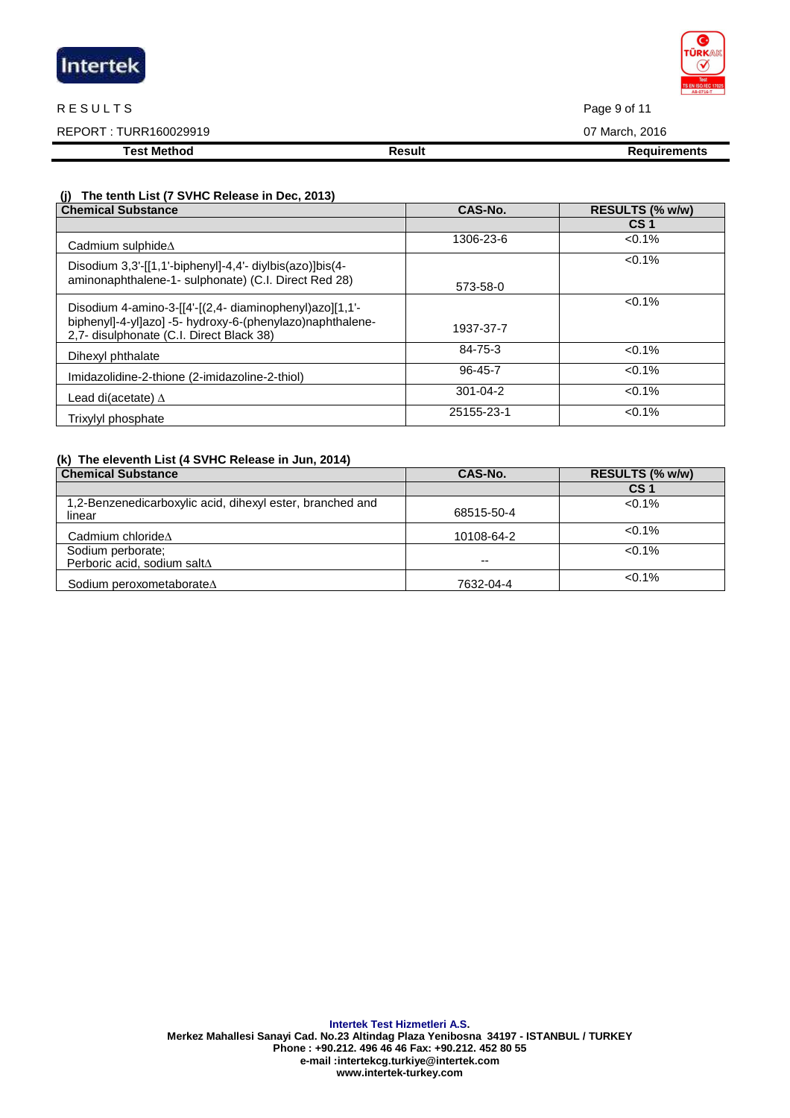| Intertek |  |
|----------|--|
|          |  |

#### R E SULTS Page 9 of 11

REPORT : TURR160029919 07 March, 2016

**Test Method Result Result Result Requirements** 

### **(j) The tenth List (7 SVHC Release in Dec, 2013)**

| <b>Chemical Substance</b>                                                                                                                                        | CAS-No.        | RESULTS (% w/w) |
|------------------------------------------------------------------------------------------------------------------------------------------------------------------|----------------|-----------------|
|                                                                                                                                                                  |                | CS <sub>1</sub> |
| Cadmium sulphide $\Delta$                                                                                                                                        | 1306-23-6      | $< 0.1\%$       |
| Disodium 3,3'-[[1,1'-biphenyl]-4,4'- diylbis(azo)]bis(4-<br>aminonaphthalene-1- sulphonate) (C.I. Direct Red 28)                                                 | 573-58-0       | $< 0.1\%$       |
| Disodium 4-amino-3-[[4'-[(2,4- diaminophenyl)azo][1,1'-<br>biphenyl]-4-yl]azo] -5- hydroxy-6-(phenylazo)naphthalene-<br>2,7- disulphonate (C.I. Direct Black 38) | 1937-37-7      | $< 0.1\%$       |
| Dihexyl phthalate                                                                                                                                                | 84-75-3        | $< 0.1\%$       |
| Imidazolidine-2-thione (2-imidazoline-2-thiol)                                                                                                                   | 96-45-7        | $< 0.1\%$       |
| Lead di(acetate) $\Delta$                                                                                                                                        | $301 - 04 - 2$ | $< 0.1\%$       |
| Trixylyl phosphate                                                                                                                                               | 25155-23-1     | $< 0.1\%$       |

## **(k) The eleventh List (4 SVHC Release in Jun, 2014)**

| <b>Chemical Substance</b>                                           | CAS-No.    | RESULTS (% w/w) |
|---------------------------------------------------------------------|------------|-----------------|
|                                                                     |            | CS 1            |
| 1,2-Benzenedicarboxylic acid, dihexyl ester, branched and<br>linear | 68515-50-4 | $< 0.1\%$       |
| Cadmium chloride $\Delta$                                           | 10108-64-2 | $< 0.1\%$       |
| Sodium perborate;<br>Perboric acid, sodium saltA                    | --         | $< 0.1\%$       |
| Sodium peroxometaborate∆                                            | 7632-04-4  | $<0.1\%$        |

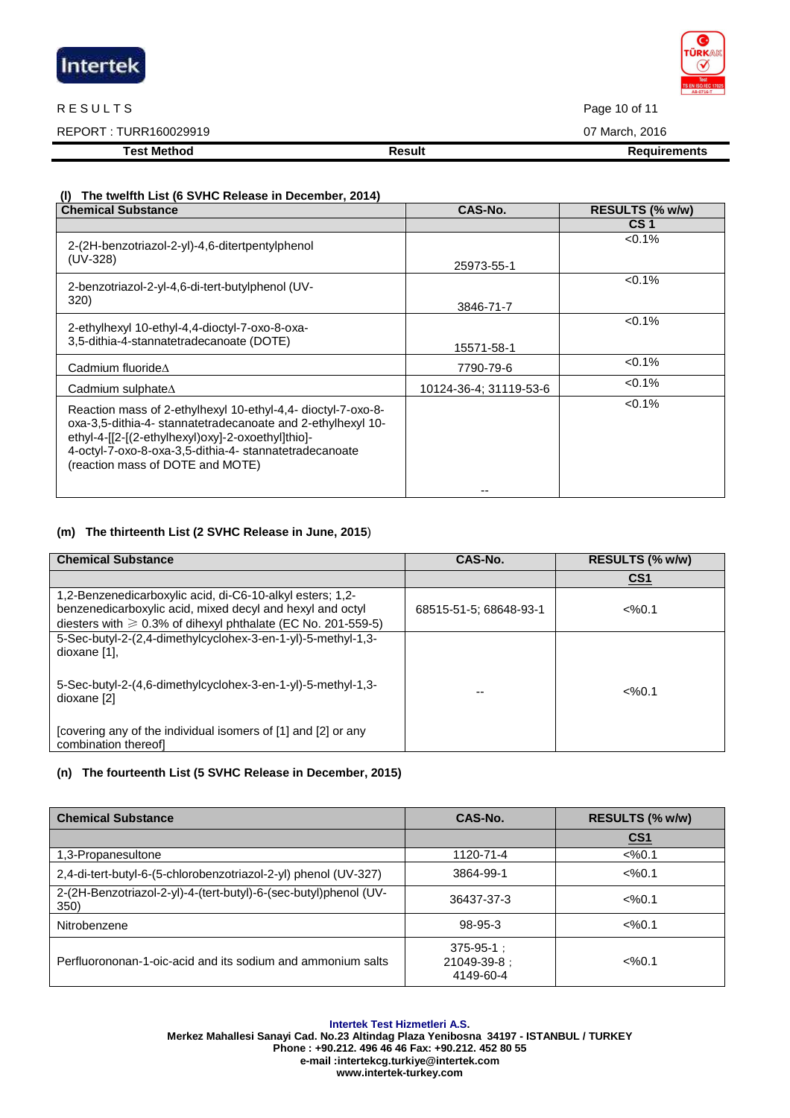

#### R E SULTS Page 10 of 11

REPORT : TURR160029919 07 March, 2016

**Test Method Result Result Result Requirements** 

### **(l) The twelfth List (6 SVHC Release in December, 2014)**

| <b>Chemical Substance</b>                                                                                                                                                                                                                                                      | CAS-No.                | RESULTS (% w/w) |
|--------------------------------------------------------------------------------------------------------------------------------------------------------------------------------------------------------------------------------------------------------------------------------|------------------------|-----------------|
|                                                                                                                                                                                                                                                                                |                        | CS <sub>1</sub> |
| 2-(2H-benzotriazol-2-yl)-4,6-ditertpentylphenol                                                                                                                                                                                                                                |                        | $< 0.1\%$       |
| (UV-328)                                                                                                                                                                                                                                                                       | 25973-55-1             |                 |
| 2-benzotriazol-2-yl-4,6-di-tert-butylphenol (UV-                                                                                                                                                                                                                               |                        | $< 0.1\%$       |
| 320)                                                                                                                                                                                                                                                                           | 3846-71-7              |                 |
| 2-ethylhexyl 10-ethyl-4,4-dioctyl-7-oxo-8-oxa-                                                                                                                                                                                                                                 |                        | $< 0.1\%$       |
| 3,5-dithia-4-stannatetradecanoate (DOTE)                                                                                                                                                                                                                                       | 15571-58-1             |                 |
| Cadmium fluoride∆                                                                                                                                                                                                                                                              | 7790-79-6              | $< 0.1\%$       |
| Cadmium sulphate $\Delta$                                                                                                                                                                                                                                                      | 10124-36-4: 31119-53-6 | $< 0.1\%$       |
| Reaction mass of 2-ethylhexyl 10-ethyl-4,4- dioctyl-7-oxo-8-<br>oxa-3,5-dithia-4- stannatetradecanoate and 2-ethylhexyl 10-<br>ethyl-4-[[2-[(2-ethylhexyl)oxy]-2-oxoethyl]thio]-<br>4-octyl-7-oxo-8-oxa-3,5-dithia-4- stannatetradecanoate<br>(reaction mass of DOTE and MOTE) |                        | $< 0.1\%$       |

## **(m) The thirteenth List (2 SVHC Release in June, 2015**)

| <b>Chemical Substance</b>                                                                                                                                                                    | CAS-No.                | RESULTS (% w/w)   |
|----------------------------------------------------------------------------------------------------------------------------------------------------------------------------------------------|------------------------|-------------------|
|                                                                                                                                                                                              |                        | CS <sub>1</sub>   |
| 1,2-Benzenedicarboxylic acid, di-C6-10-alkyl esters; 1,2-<br>benzenedicarboxylic acid, mixed decyl and hexyl and octyl<br>diesters with $\geq 0.3\%$ of dihexyl phthalate (EC No. 201-559-5) | 68515-51-5: 68648-93-1 | $<\frac{9}{6}0.1$ |
| 5-Sec-butyl-2-(2,4-dimethylcyclohex-3-en-1-yl)-5-methyl-1,3-<br>dioxane [1].                                                                                                                 |                        |                   |
| 5-Sec-butyl-2-(4,6-dimethylcyclohex-3-en-1-yl)-5-methyl-1,3-<br>dioxane [2]                                                                                                                  |                        | $<\frac{9}{6}0.1$ |
| [covering any of the individual isomers of [1] and [2] or any<br>combination thereofl                                                                                                        |                        |                   |

### **(n) The fourteenth List (5 SVHC Release in December, 2015)**

| <b>Chemical Substance</b>                                                | CAS-No.                                      | RESULTS (% w/w)   |
|--------------------------------------------------------------------------|----------------------------------------------|-------------------|
|                                                                          |                                              | <u>CS1</u>        |
| 1,3-Propanesultone                                                       | 1120-71-4                                    | $<\frac{9}{0.1}$  |
| 2,4-di-tert-butyl-6-(5-chlorobenzotriazol-2-yl) phenol (UV-327)          | 3864-99-1                                    | $<\frac{9}{6}0.1$ |
| 2-(2H-Benzotriazol-2-yl)-4-(tert-butyl)-6-(sec-butyl)phenol (UV-<br>350) | 36437-37-3                                   | $<\frac{9}{6}0.1$ |
| Nitrobenzene                                                             | 98-95-3                                      | $<\frac{9}{6}0.1$ |
| Perfluorononan-1-oic-acid and its sodium and ammonium salts              | $375 - 95 - 1$ :<br>21049-39-8:<br>4149-60-4 | $<\frac{9}{6}0.1$ |